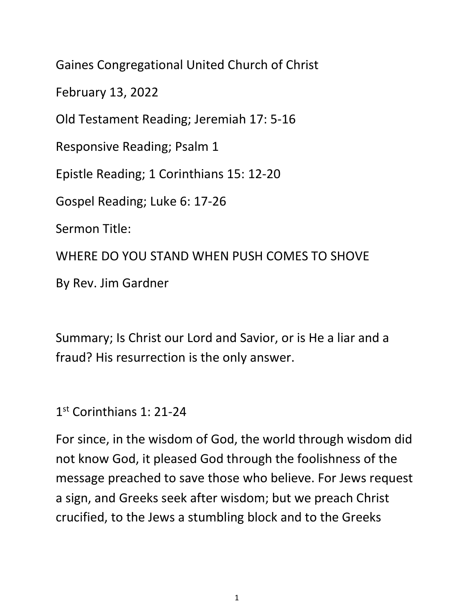Gaines Congregational United Church of Christ February 13, 2022 Old Testament Reading; Jeremiah 17: 5-16 Responsive Reading; Psalm 1 Epistle Reading; 1 Corinthians 15: 12-20 Gospel Reading; Luke 6: 17-26 Sermon Title: WHERE DO YOU STAND WHEN PUSH COMES TO SHOVE By Rev. Jim Gardner

Summary; Is Christ our Lord and Savior, or is He a liar and a fraud? His resurrection is the only answer.

1 st Corinthians 1: 21-24

For since, in the wisdom of God, the world through wisdom did not know God, it pleased God through the foolishness of the message preached to save those who believe. For Jews request a sign, and Greeks seek after wisdom; but we preach Christ crucified, to the Jews a stumbling block and to the Greeks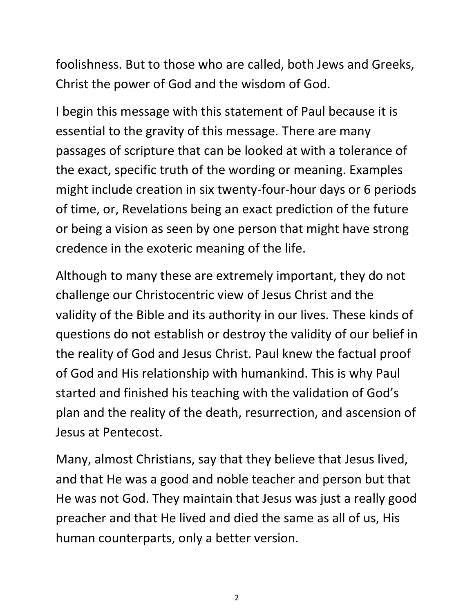foolishness. But to those who are called, both Jews and Greeks, Christ the power of God and the wisdom of God.

I begin this message with this statement of Paul because it is essential to the gravity of this message. There are many passages of scripture that can be looked at with a tolerance of the exact, specific truth of the wording or meaning. Examples might include creation in six twenty-four-hour days or 6 periods of time, or, Revelations being an exact prediction of the future or being a vision as seen by one person that might have strong credence in the exoteric meaning of the life.

Although to many these are extremely important, they do not challenge our Christocentric view of Jesus Christ and the validity of the Bible and its authority in our lives. These kinds of questions do not establish or destroy the validity of our belief in the reality of God and Jesus Christ. Paul knew the factual proof of God and His relationship with humankind. This is why Paul started and finished his teaching with the validation of God's plan and the reality of the death, resurrection, and ascension of Jesus at Pentecost.

Many, almost Christians, say that they believe that Jesus lived, and that He was a good and noble teacher and person but that He was not God. They maintain that Jesus was just a really good preacher and that He lived and died the same as all of us, His human counterparts, only a better version.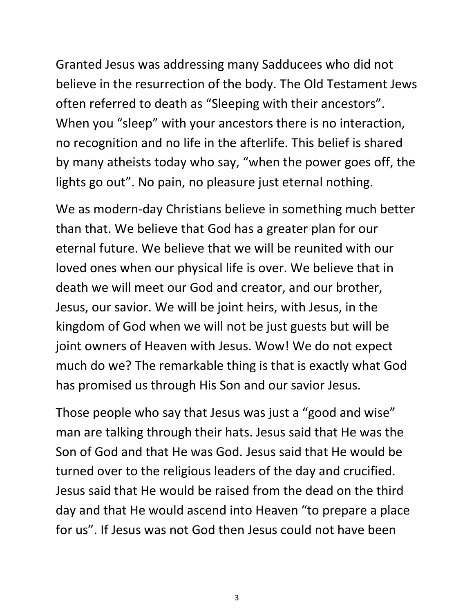Granted Jesus was addressing many Sadducees who did not believe in the resurrection of the body. The Old Testament Jews often referred to death as "Sleeping with their ancestors". When you "sleep" with your ancestors there is no interaction, no recognition and no life in the afterlife. This belief is shared by many atheists today who say, "when the power goes off, the lights go out". No pain, no pleasure just eternal nothing.

We as modern-day Christians believe in something much better than that. We believe that God has a greater plan for our eternal future. We believe that we will be reunited with our loved ones when our physical life is over. We believe that in death we will meet our God and creator, and our brother, Jesus, our savior. We will be joint heirs, with Jesus, in the kingdom of God when we will not be just guests but will be joint owners of Heaven with Jesus. Wow! We do not expect much do we? The remarkable thing is that is exactly what God has promised us through His Son and our savior Jesus.

Those people who say that Jesus was just a "good and wise" man are talking through their hats. Jesus said that He was the Son of God and that He was God. Jesus said that He would be turned over to the religious leaders of the day and crucified. Jesus said that He would be raised from the dead on the third day and that He would ascend into Heaven "to prepare a place for us". If Jesus was not God then Jesus could not have been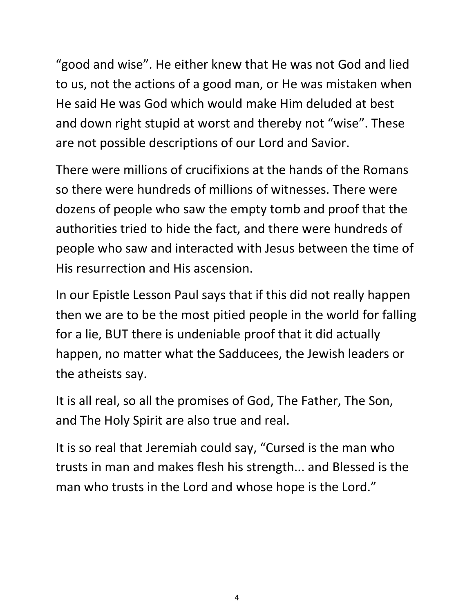"good and wise". He either knew that He was not God and lied to us, not the actions of a good man, or He was mistaken when He said He was God which would make Him deluded at best and down right stupid at worst and thereby not "wise". These are not possible descriptions of our Lord and Savior.

There were millions of crucifixions at the hands of the Romans so there were hundreds of millions of witnesses. There were dozens of people who saw the empty tomb and proof that the authorities tried to hide the fact, and there were hundreds of people who saw and interacted with Jesus between the time of His resurrection and His ascension.

In our Epistle Lesson Paul says that if this did not really happen then we are to be the most pitied people in the world for falling for a lie, BUT there is undeniable proof that it did actually happen, no matter what the Sadducees, the Jewish leaders or the atheists say.

It is all real, so all the promises of God, The Father, The Son, and The Holy Spirit are also true and real.

It is so real that Jeremiah could say, "Cursed is the man who trusts in man and makes flesh his strength... and Blessed is the man who trusts in the Lord and whose hope is the Lord."